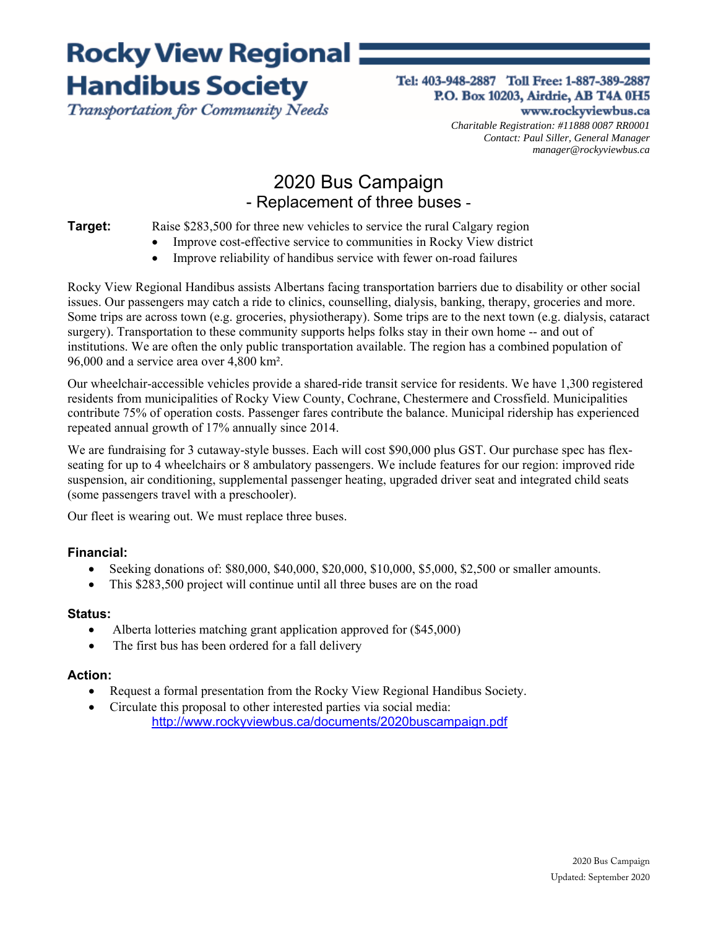# **Rocky View Regional: Handibus Society**

Transportation for Community Needs

#### Tel: 403-948-2887 Toll Free: 1-887-389-2887 P.O. Box 10203, Airdrie, AB T4A 0H5 www.rockyviewbus.ca

*Charitable Registration: #11888 0087 RR0001 Contact: Paul Siller, General Manager manager@rockyviewbus.ca* 

### 2020 Bus Campaign - Replacement of three buses -

**Target:** Raise \$283,500 for three new vehicles to service the rural Calgary region

- Improve cost-effective service to communities in Rocky View district
- Improve reliability of handibus service with fewer on-road failures

Rocky View Regional Handibus assists Albertans facing transportation barriers due to disability or other social issues. Our passengers may catch a ride to clinics, counselling, dialysis, banking, therapy, groceries and more. Some trips are across town (e.g. groceries, physiotherapy). Some trips are to the next town (e.g. dialysis, cataract surgery). Transportation to these community supports helps folks stay in their own home -- and out of institutions. We are often the only public transportation available. The region has a combined population of 96,000 and a service area over 4,800 km².

Our wheelchair-accessible vehicles provide a shared-ride transit service for residents. We have 1,300 registered residents from municipalities of Rocky View County, Cochrane, Chestermere and Crossfield. Municipalities contribute 75% of operation costs. Passenger fares contribute the balance. Municipal ridership has experienced repeated annual growth of 17% annually since 2014.

We are fundraising for 3 cutaway-style busses. Each will cost \$90,000 plus GST. Our purchase spec has flexseating for up to 4 wheelchairs or 8 ambulatory passengers. We include features for our region: improved ride suspension, air conditioning, supplemental passenger heating, upgraded driver seat and integrated child seats (some passengers travel with a preschooler).

Our fleet is wearing out. We must replace three buses.

### **Financial:**

- $\bullet$  Seeking donations of: \$80,000, \$40,000, \$20,000, \$10,000, \$5,000, \$2,500 or smaller amounts.
- This \$283,500 project will continue until all three buses are on the road

#### **Status:**

- Alberta lotteries matching grant application approved for (\$45,000)
- The first bus has been ordered for a fall delivery

#### **Action:**

- Request a formal presentation from the Rocky View Regional Handibus Society.
- Circulate this proposal to other interested parties via social media: http://www.rockyviewbus.ca/documents/2020buscampaign.pdf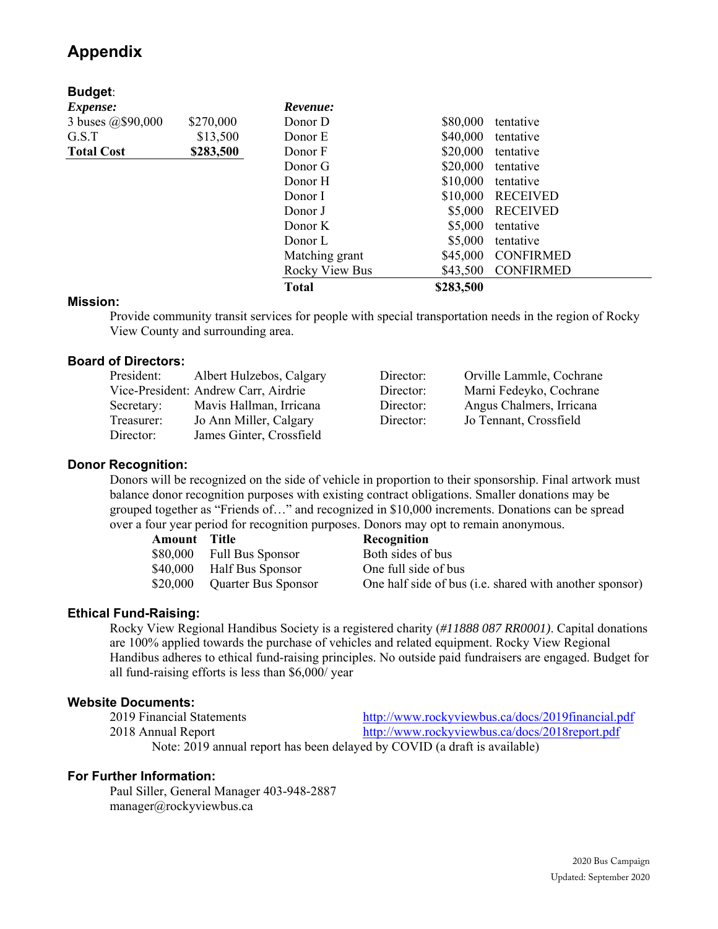### **Appendix**

| <b>Budget:</b>                 |           |                |           |                  |
|--------------------------------|-----------|----------------|-----------|------------------|
| <i>Expense:</i>                |           | Revenue:       |           |                  |
| 3 buses @\$90,000              | \$270,000 | Donor D        | \$80,000  | tentative        |
| G.S.T                          | \$13,500  | Donor E        | \$40,000  | tentative        |
| \$283,500<br><b>Total Cost</b> |           | Donor F        | \$20,000  | tentative        |
|                                |           | Donor G        | \$20,000  | tentative        |
|                                |           | Donor H        | \$10,000  | tentative        |
|                                |           | Donor I        | \$10,000  | RECEIVED         |
|                                |           | Donor J        | \$5,000   | <b>RECEIVED</b>  |
|                                |           | Donor K        | \$5,000   | tentative        |
|                                |           | Donor L        | \$5,000   | tentative        |
|                                |           | Matching grant | \$45,000  | <b>CONFIRMED</b> |
|                                |           | Rocky View Bus | \$43,500  | <b>CONFIRMED</b> |
|                                |           | <b>Total</b>   | \$283,500 |                  |

#### **Mission:**

Provide community transit services for people with special transportation needs in the region of Rocky View County and surrounding area.

#### **Board of Directors:**

| President: | Albert Hulzebos, Calgary             | Director: | Orville Lammle, Cochrane |
|------------|--------------------------------------|-----------|--------------------------|
|            | Vice-President: Andrew Carr, Airdrie | Director: | Marni Fedeyko, Cochrane  |
| Secretary: | Mavis Hallman, Irricana              | Director: | Angus Chalmers, Irricana |
| Treasurer: | Jo Ann Miller, Calgary               | Director: | Jo Tennant, Crossfield   |
| Director:  | James Ginter, Crossfield             |           |                          |

#### **Donor Recognition:**

Donors will be recognized on the side of vehicle in proportion to their sponsorship. Final artwork must balance donor recognition purposes with existing contract obligations. Smaller donations may be grouped together as "Friends of…" and recognized in \$10,000 increments. Donations can be spread over a four year period for recognition purposes. Donors may opt to remain anonymous.

| <b>Amount</b> Title |                           | Recognition                                             |
|---------------------|---------------------------|---------------------------------------------------------|
|                     | \$80,000 Full Bus Sponsor | Both sides of bus                                       |
| \$40,000            | Half Bus Sponsor          | One full side of bus                                    |
| \$20,000            | Quarter Bus Sponsor       | One half side of bus (i.e. shared with another sponsor) |

#### **Ethical Fund-Raising:**

Rocky View Regional Handibus Society is a registered charity (*#11888 087 RR0001)*. Capital donations are 100% applied towards the purchase of vehicles and related equipment. Rocky View Regional Handibus adheres to ethical fund-raising principles. No outside paid fundraisers are engaged. Budget for all fund-raising efforts is less than \$6,000/ year

#### **Website Documents:**

| 2019 Financial Statements                                                 | http://www.rockyviewbus.ca/docs/2019financial.pdf |  |  |  |  |  |  |
|---------------------------------------------------------------------------|---------------------------------------------------|--|--|--|--|--|--|
| 2018 Annual Report                                                        | http://www.rockyviewbus.ca/docs/2018report.pdf    |  |  |  |  |  |  |
| Note: 2019 annual report has been delayed by COVID (a draft is available) |                                                   |  |  |  |  |  |  |

#### **For Further Information:**

Paul Siller, General Manager 403-948-2887 manager@rockyviewbus.ca